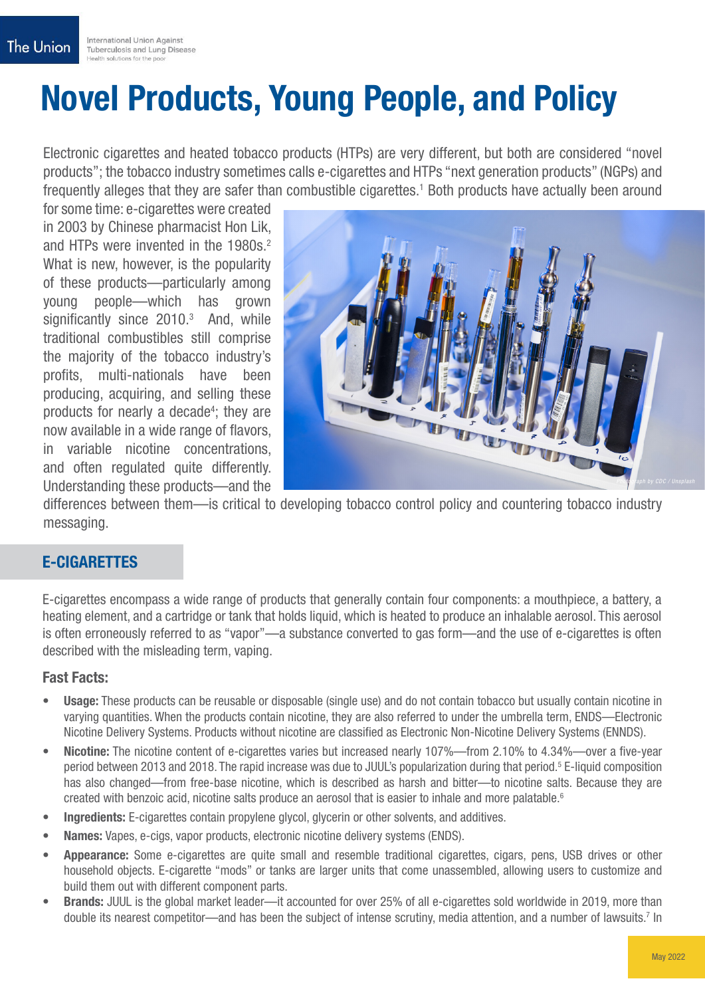# Novel Products, Young People, and Policy

Electronic cigarettes and heated tobacco products (HTPs) are very different, but both are considered "novel products"; the tobacco industry sometimes calls e-cigarettes and HTPs "next generation products" (NGPs) and frequently alleges that they are safer than combustible cigarettes.<sup>1</sup> Both products have actually been around

for some time: e-cigarettes were created in 2003 by Chinese pharmacist Hon Lik, and HTPs were invented in the 1980s.<sup>2</sup> What is new, however, is the popularity of these products—particularly among young people—which has grown significantly since  $2010.<sup>3</sup>$  And, while traditional combustibles still comprise the majority of the tobacco industry's profits, multi-nationals have been producing, acquiring, and selling these products for nearly a decade<sup>4</sup>; they are now available in a wide range of flavors, in variable nicotine concentrations, and often regulated quite differently. Understanding these products—and the



differences between them—is critical to developing tobacco control policy and countering tobacco industry messaging.

## E-CIGARETTES

E-cigarettes encompass a wide range of products that generally contain four components: a mouthpiece, a battery, a heating element, and a cartridge or tank that holds liquid, which is heated to produce an inhalable aerosol. This aerosol is often erroneously referred to as "vapor"—a substance converted to gas form—and the use of e-cigarettes is often described with the misleading term, vaping.

#### Fast Facts:

- Usage: These products can be reusable or disposable (single use) and do not contain tobacco but usually contain nicotine in varying quantities. When the products contain nicotine, they are also referred to under the umbrella term, ENDS—Electronic Nicotine Delivery Systems. Products without nicotine are classified as Electronic Non-Nicotine Delivery Systems (ENNDS).
- Nicotine: The nicotine content of e-cigarettes varies but increased nearly 107%—from 2.10% to 4.34%—over a five-year period between 2013 and 2018. The rapid increase was due to JUUL's popularization during that period.<sup>5</sup> E-liquid composition has also changed—from free-base nicotine, which is described as harsh and bitter—to nicotine salts. Because they are created with benzoic acid, nicotine salts produce an aerosol that is easier to inhale and more palatable.<sup>6</sup>
- Ingredients: E-cigarettes contain propylene glycol, glycerin or other solvents, and additives.
- Names: Vapes, e-cigs, vapor products, electronic nicotine delivery systems (ENDS).
- Appearance: Some e-cigarettes are quite small and resemble traditional cigarettes, cigars, pens, USB drives or other household objects. E-cigarette "mods" or tanks are larger units that come unassembled, allowing users to customize and build them out with different component parts.
- **Brands:** JUUL is the global market leader—it accounted for over 25% of all e-cigarettes sold worldwide in 2019, more than double its nearest competitor—and has been the subject of intense scrutiny, media attention, and a number of lawsuits.7 In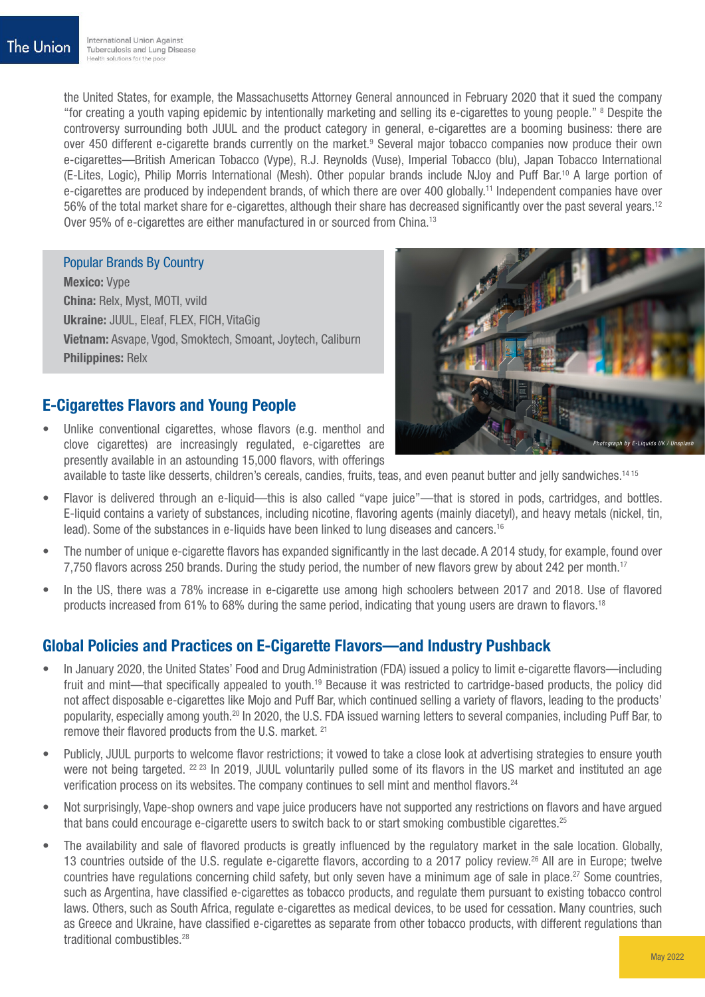the United States, for example, the Massachusetts Attorney General announced in February 2020 that it sued the company "for creating a youth vaping epidemic by intentionally marketing and selling its e-cigarettes to young people." 8 Despite the controversy surrounding both JUUL and the product category in general, e-cigarettes are a booming business: there are over 450 different e-cigarette brands currently on the market.<sup>9</sup> Several major tobacco companies now produce their own e-cigarettes—British American Tobacco (Vype), R.J. Reynolds (Vuse), Imperial Tobacco (blu), Japan Tobacco International (E-Lites, Logic), Philip Morris International (Mesh). Other popular brands include NJoy and Puff Bar.10 A large portion of e-cigarettes are produced by independent brands, of which there are over 400 globally.<sup>11</sup> Independent companies have over 56% of the total market share for e-cigarettes, although their share has decreased significantly over the past several years.12 Over 95% of e-cigarettes are either manufactured in or sourced from China.<sup>13</sup>

#### Popular Brands By Country

Mexico: Vype China: Relx, Myst, MOTI, vvild Ukraine: JUUL, Eleaf, FLEX, FICH, VitaGig Vietnam: Asvape, Vgod, Smoktech, Smoant, Joytech, Caliburn Philippines: Relx

# E-Cigarettes Flavors and Young People

Unlike conventional cigarettes, whose flavors (e.g. menthol and clove cigarettes) are increasingly regulated, e-cigarettes are presently available in an astounding 15,000 flavors, with offerings



available to taste like desserts, children's cereals, candies, fruits, teas, and even peanut butter and jelly sandwiches.14 15

- Flavor is delivered through an e-liquid—this is also called "vape juice"—that is stored in pods, cartridges, and bottles. E-liquid contains a variety of substances, including nicotine, flavoring agents (mainly diacetyl), and heavy metals (nickel, tin, lead). Some of the substances in e-liquids have been linked to lung diseases and cancers.<sup>16</sup>
- The number of unique e-cigarette flavors has expanded significantly in the last decade. A 2014 study, for example, found over 7,750 flavors across 250 brands. During the study period, the number of new flavors grew by about 242 per month.<sup>17</sup>
- In the US, there was a 78% increase in e-cigarette use among high schoolers between 2017 and 2018. Use of flavored products increased from 61% to 68% during the same period, indicating that young users are drawn to flavors.18

# Global Policies and Practices on E-Cigarette Flavors—and Industry Pushback

- In January 2020, the United States' Food and Drug Administration (FDA) issued a policy to limit e-cigarette flavors—including fruit and mint—that specifically appealed to youth.<sup>19</sup> Because it was restricted to cartridge-based products, the policy did not affect disposable e-cigarettes like Mojo and Puff Bar, which continued selling a variety of flavors, leading to the products' popularity, especially among youth.20 In 2020, the U.S. FDA issued warning letters to several companies, including Puff Bar, to remove their flavored products from the U.S. market. 21
- Publicly, JUUL purports to welcome flavor restrictions; it vowed to take a close look at advertising strategies to ensure youth were not being targeted. <sup>22 23</sup> In 2019, JUUL voluntarily pulled some of its flavors in the US market and instituted an age verification process on its websites. The company continues to sell mint and menthol flavors.24
- Not surprisingly, Vape-shop owners and vape juice producers have not supported any restrictions on flavors and have argued that bans could encourage e-cigarette users to switch back to or start smoking combustible cigarettes.<sup>25</sup>
- The availability and sale of flavored products is greatly influenced by the regulatory market in the sale location. Globally, 13 countries outside of the U.S. regulate e-cigarette flavors, according to a 2017 policy review.26 All are in Europe; twelve countries have regulations concerning child safety, but only seven have a minimum age of sale in place.27 Some countries, such as Argentina, have classified e-cigarettes as tobacco products, and regulate them pursuant to existing tobacco control laws. Others, such as South Africa, regulate e-cigarettes as medical devices, to be used for cessation. Many countries, such as Greece and Ukraine, have classified e-cigarettes as separate from other tobacco products, with different regulations than traditional combustibles.<sup>28</sup>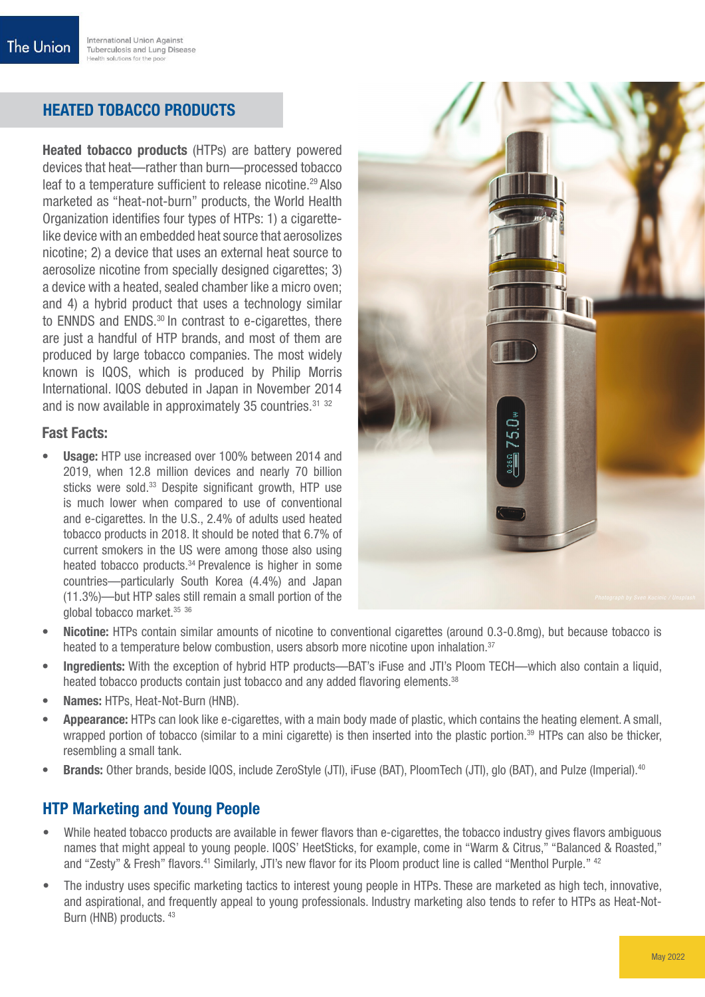# HEATED TOBACCO PRODUCTS

Heated tobacco products (HTPs) are battery powered devices that heat—rather than burn—processed tobacco leaf to a temperature sufficient to release nicotine.<sup>29</sup> Also marketed as "heat-not-burn" products, the World Health Organization identifies four types of HTPs: 1) a cigarettelike device with an embedded heat source that aerosolizes nicotine; 2) a device that uses an external heat source to aerosolize nicotine from specially designed cigarettes; 3) a device with a heated, sealed chamber like a micro oven; and 4) a hybrid product that uses a technology similar to ENNDS and ENDS.<sup>30</sup> In contrast to e-cigarettes, there are just a handful of HTP brands, and most of them are produced by large tobacco companies. The most widely known is IQOS, which is produced by Philip Morris International. IQOS debuted in Japan in November 2014 and is now available in approximately 35 countries.31 32

#### Fast Facts:

Usage: HTP use increased over 100% between 2014 and 2019, when 12.8 million devices and nearly 70 billion sticks were sold.<sup>33</sup> Despite significant growth, HTP use is much lower when compared to use of conventional and e-cigarettes. In the U.S., 2.4% of adults used heated tobacco products in 2018. It should be noted that 6.7% of current smokers in the US were among those also using heated tobacco products.<sup>34</sup> Prevalence is higher in some countries—particularly South Korea (4.4%) and Japan (11.3%)—but HTP sales still remain a small portion of the global tobacco market.35 36



- Nicotine: HTPs contain similar amounts of nicotine to conventional cigarettes (around 0.3-0.8mg), but because tobacco is heated to a temperature below combustion, users absorb more nicotine upon inhalation.<sup>37</sup>
- Ingredients: With the exception of hybrid HTP products—BAT's iFuse and JTI's Ploom TECH—which also contain a liquid, heated tobacco products contain just tobacco and any added flavoring elements.<sup>38</sup>
- Names: HTPs, Heat-Not-Burn (HNB).
- Appearance: HTPs can look like e-cigarettes, with a main body made of plastic, which contains the heating element. A small, wrapped portion of tobacco (similar to a mini cigarette) is then inserted into the plastic portion.<sup>39</sup> HTPs can also be thicker, resembling a small tank.
- **Brands:** Other brands, beside IQOS, include ZeroStyle (JTI), iFuse (BAT), PloomTech (JTI), glo (BAT), and Pulze (Imperial).<sup>40</sup>

# HTP Marketing and Young People

- While heated tobacco products are available in fewer flavors than e-cigarettes, the tobacco industry gives flavors ambiguous names that might appeal to young people. IQOS' HeetSticks, for example, come in "Warm & Citrus," "Balanced & Roasted," and "Zesty" & Fresh" flavors.41 Similarly, JTI's new flavor for its Ploom product line is called "Menthol Purple." 42
- The industry uses specific marketing tactics to interest young people in HTPs. These are marketed as high tech, innovative, and aspirational, and frequently appeal to young professionals. Industry marketing also tends to refer to HTPs as Heat-Not-Burn (HNB) products. 43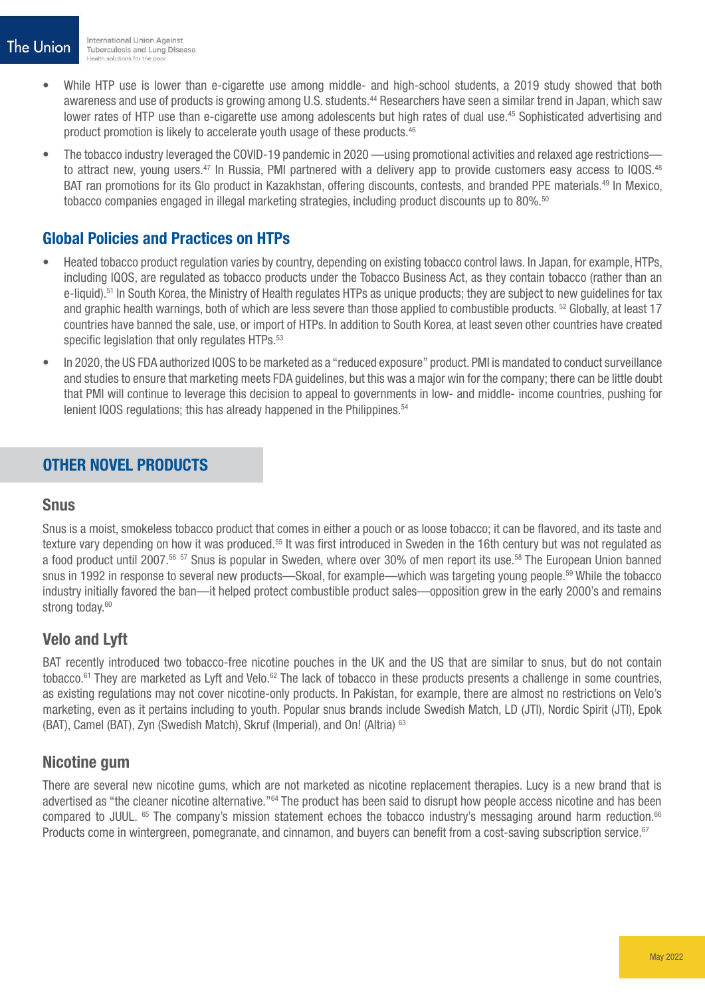- While HTP use is lower than e-cigarette use among middle- and high-school students, a 2019 study showed that both awareness and use of products is growing among U.S. students.<sup>44</sup> Researchers have seen a similar trend in Japan, which saw lower rates of HTP use than e-cigarette use among adolescents but high rates of dual use.<sup>45</sup> Sophisticated advertising and product promotion is likely to accelerate youth usage of these products.<sup>46</sup>
- The tobacco industry leveraged the COVID-19 pandemic in 2020 —using promotional activities and relaxed age restrictions to attract new, young users.<sup>47</sup> In Russia, PMI partnered with a delivery app to provide customers easy access to IQOS.<sup>48</sup> BAT ran promotions for its Glo product in Kazakhstan, offering discounts, contests, and branded PPE materials.<sup>49</sup> In Mexico, tobacco companies engaged in illegal marketing strategies, including product discounts up to 80%.<sup>50</sup>

# Global Policies and Practices on HTPs

- Heated tobacco product regulation varies by country, depending on existing tobacco control laws. In Japan, for example, HTPs, including IQOS, are regulated as tobacco products under the Tobacco Business Act, as they contain tobacco (rather than an e-liquid).51 In South Korea, the Ministry of Health regulates HTPs as unique products; they are subject to new guidelines for tax and graphic health warnings, both of which are less severe than those applied to combustible products. 52 Globally, at least 17 countries have banned the sale, use, or import of HTPs. In addition to South Korea, at least seven other countries have created specific legislation that only regulates HTPs.<sup>53</sup>
- In 2020, the US FDA authorized IQOS to be marketed as a "reduced exposure" product. PMI is mandated to conduct surveillance and studies to ensure that marketing meets FDA guidelines, but this was a major win for the company; there can be little doubt that PMI will continue to leverage this decision to appeal to governments in low- and middle- income countries, pushing for lenient IQOS regulations; this has already happened in the Philippines.<sup>54</sup>

## OTHER NOVEL PRODUCTS

#### **Snus**

Snus is a moist, smokeless tobacco product that comes in either a pouch or as loose tobacco; it can be flavored, and its taste and texture vary depending on how it was produced.<sup>55</sup> It was first introduced in Sweden in the 16th century but was not regulated as a food product until 2007.56 57 Snus is popular in Sweden, where over 30% of men report its use.58 The European Union banned snus in 1992 in response to several new products—Skoal, for example—which was targeting young people.<sup>59</sup> While the tobacco industry initially favored the ban—it helped protect combustible product sales—opposition grew in the early 2000's and remains strong today.<sup>60</sup>

## Velo and Lyft

BAT recently introduced two tobacco-free nicotine pouches in the UK and the US that are similar to snus, but do not contain tobacco.<sup>61</sup> They are marketed as Lyft and Velo.<sup>62</sup> The lack of tobacco in these products presents a challenge in some countries, as existing regulations may not cover nicotine-only products. In Pakistan, for example, there are almost no restrictions on Velo's marketing, even as it pertains including to youth. Popular snus brands include Swedish Match, LD (JTI), Nordic Spirit (JTI), Epok (BAT), Camel (BAT), Zyn (Swedish Match), Skruf (Imperial), and On! (Altria) 63

#### Nicotine gum

There are several new nicotine gums, which are not marketed as nicotine replacement therapies. Lucy is a new brand that is advertised as "the cleaner nicotine alternative."64 The product has been said to disrupt how people access nicotine and has been compared to JUUL. <sup>65</sup> The company's mission statement echoes the tobacco industry's messaging around harm reduction.<sup>66</sup> Products come in wintergreen, pomegranate, and cinnamon, and buyers can benefit from a cost-saving subscription service.<sup>67</sup>